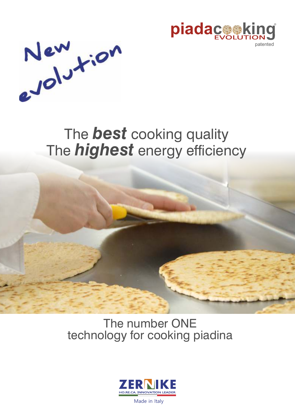



# The *best* cooking quality The *highest* energy efficiency



The number ONE technology for cooking piadina

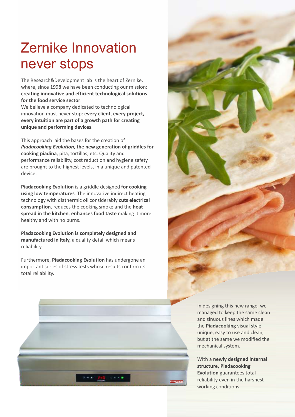## Zernike Innovation never stops

The Research&Development lab is the heart of Zernike, where, since 1998 we have been conducting our mission: **creating innovative and efficient technological solutions for the food service sector**.

We believe a company dedicated to technological innovation must never stop: **every client**, **every project, every intuition are part of a growth path for creating unique and performing devices**.

This approach laid the bases for the creation of *Piadacooking Evolution***, the new generation of griddles for cooking piadina**, pita, tortillas, etc. Quality and performance reliability, cost reduction and hygiene safety are brought to the highest levels, in a unique and patented device.

**Piadacooking Evolution** is a griddle designed **for cooking using low temperatures**. The innovative indirect heating technology with diathermic oil considerably **cuts electrical consumption**, reduces the cooking smoke and the **heat spread in the kitchen**, **enhances food taste** making it more healthy and with no burns.

**Piadacooking Evolution is completely designed and manufactured in Italy,** a quality detail which means reliability.

Furthermore, **Piadacooking Evolution** has undergone an important series of stress tests whose results confirm its total reliability.





In designing this new range, we managed to keep the same clean and sinuous lines which made the **Piadacooking** visual style unique, easy to use and clean, but at the same we modified the mechanical system.

With a **newly designed internal structure, Piadacooking Evolution** guarantees total reliability even in the harshest working conditions.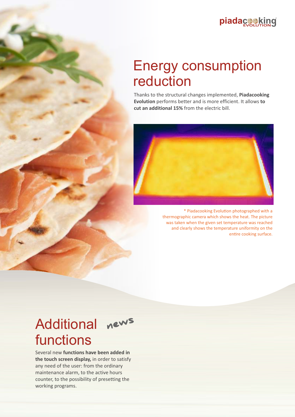#### piadacs<sub>oution</sub>g

### Energy consumption reduction

Thanks to the structural changes implemented, **Piadacooking Evolution** performs better and is more efficient. It allows **to cut an additional 15%** from the electric bill.



\* Piadacooking Evolution photographed with a thermographic camera which shows the heat. The picture was taken when the given set temperature was reached and clearly shows the temperature uniformity on the entire cooking surface.

### Additional news functions

Several new **functions have been added in the touch screen display,** in order to satisfy any need of the user: from the ordinary maintenance alarm, to the active hours counter, to the possibility of presetting the working programs.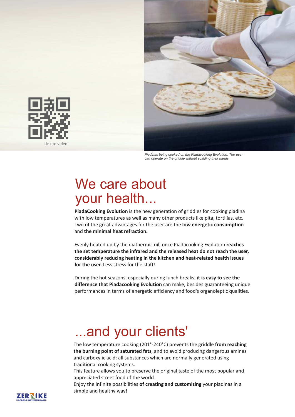



*Piadinas being cooked on the Piadacooking Evolution. The user can operate on the griddle without scalding their hands.*

### We care about your health...

**PiadaCooking Evolution** is the new generation of griddles for cooking piadina with low temperatures as well as many other products like pita, tortillas, etc. Two of the great advantages for the user are the **low energetic consumption** and **the minimal heat refraction.**

Evenly heated up by the diathermic oil, once Piadacooking Evolution **reaches the set temperature the infrared and the released heat do not reach the user, considerably reducing heating in the kitchen and heat-related health issues for the user.** Less stress for the staff!

During the hot seasons, especially during lunch breaks, i**t is easy to see the difference that Piadacooking Evolution** can make, besides guaranteeing unique performances in terms of energetic efficiency and food's organoleptic qualities.

### ...and your clients'

The low temperature cooking (201°-240°C) prevents the griddle **from reaching the burning point of saturated fats**, and to avoid producing dangerous amines and carboxylic acid: all substances which are normally generated using traditional cooking systems.

This feature allows you to preserve the original taste of the most popular and appreciated street food of the world.

Enjoy the infinite possibilities **of creating and customizing** your piadinas in a simple and healthy way!

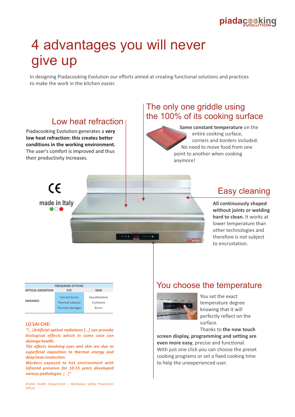#### piadacs<sub>oution</sub>g

### 4 advantages you will never give up

In designing Piadacooking Evolution our efforts aimed at creating functional solutions and practices to make the work in the kitchen easier.



| <b>FREQUENZE OTTICHE</b> |                                   |                            |  |  |
|--------------------------|-----------------------------------|----------------------------|--|--|
| <b>OPTICAL RADIATION</b> | <b>FYF</b>                        | <b>SKIN</b>                |  |  |
| <b>INFRARED</b>          | Corneal burns<br>Thermal cataract | Vasodilatation<br>Erythema |  |  |
|                          | Thermal damages                   | <b>Burns</b>               |  |  |

#### **LO SAI CHE:**

*"*[…]*Artificial optical radiations […] can provoke biological effects which in some case can damage health.* 

*The effects involving eyes and skin are due to superficial exposition to thermal energy and deep heat conduction.* 

*Workers exposed to hot environment with infrared presence for 10-15 years developed various pathologies* […]*"*

(Public Health Department – Workplace Safety Prevention Office)

#### You choose the temperature



You set the exact temperature degree knowing that it will perfectly reflect on the surface.

Thanks to **the new touch** 

**screen display, programming and setting are even more easy**, precise and functional. With just one click you can choose the preset cooking programs or set a fixed cooking time to help the unexperienced user.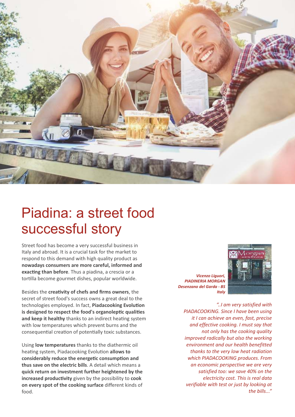

### Piadina: a street food successful story

Street food has become a very successful business in Italy and abroad. It is a crucial task for the market to respond to this demand with high quality product as **nowadays consumers are more careful, informed and**  exacting than before. Thus a piadina, a crescia or a tortilla become gourmet dishes, popular worldwide.

Besides the **creativity of chefs and firms owners**, the secret of street food's success owns a great deal to the technologies employed. In fact, Piadacooking Evolution is designed to respect the food's organoleptic qualities and keep it healthy thanks to an indirect heating system with low temperatures which prevent burns and the consequential creation of potentially toxic substances.

Using **low temperatures** thanks to the diathermic oil heating system, Piadacooking Evolution allows to considerably reduce the energetic consumption and **thus save on the electric bills**. A detail which means a **quick return on investment further heightened by the**  increased productivity given by the possibility to cook **on every spot of the cooking surface** different kinds of food.

*Vicenzo Liguori, PIADINERIA MORGAN Desenzano del Garda - BS Italy* 



*"..I am very satisfied with PIADACOOKING. Since I have been using it I can achieve an even, fast, precise and effective cooking. I must say that not only has the cooking quality improved radically but also the working environment and our health benefitted thanks to the very low heat radiation which PIADACOOKING produces. From an economic perspective we are very satisfied too: we save 40% on the electricity cost. This is real data verifiable with test or just by looking at the bills..."*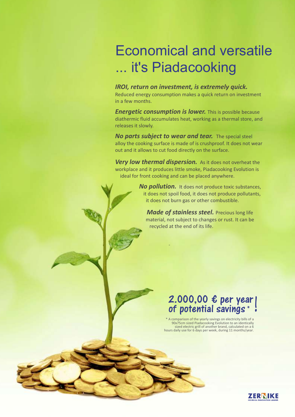### Economical and versatile ... it's Piadacooking

#### *IROI, return on investment, is extremely quick.*

Reduced energy consumption makes a quick return on investment in a few months.

*Energetic consumption is lower.* This is possible because diathermic fluid accumulates heat, working as a thermal store, and releases it slowly.

*No parts subject to wear and tear.* The special steel alloy the cooking surface is made of is crushproof. It does not wear out and it allows to cut food directly on the surface.

*Very low thermal dispersion.* As it does not overheat the workplace and it produces little smoke, Piadacooking Evolution is ideal for front cooking and can be placed anywhere.

-

*No pollution.* It does not produce toxic substances, it does not spoil food, it does not produce pollutants, it does not burn gas or other combustible.

*Made of stainless steel.* Precious long life material, not subject to changes or rust. It can be recycled at the end of its life.

#### 2.000,00 € per year of potential savings \*!

\* A comparison of the yearly savings on electricity bills of a 90x75cm sized Piadacooking Evolution to an identically sized electric grill of another brand, calculated on a 6 hours daily use for 6 days per week, during 11 months/year.

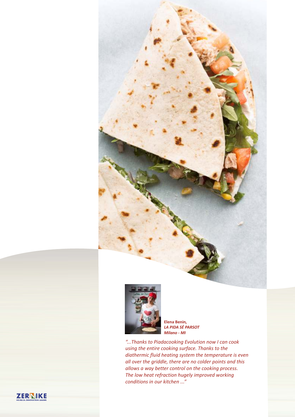



**Elena Benin***, LA PIDA SÉ PARSOT Milano - MI* 

asporto. *"...Thanks to Piadacooking Evolution now I can cook using the entire cooking surface. Thanks to the diathermic fluid heating system the temperature is even all over the griddle, there are no colder points and this allows a way better control on the cooking process. The low heat refraction hugely improved working conditions in our kitchen ..."*

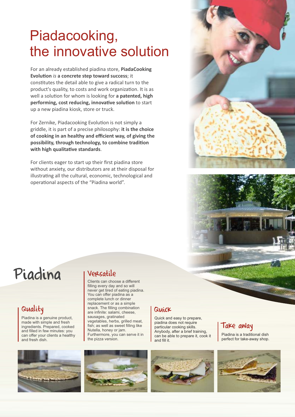### Piadacooking, the innovative solution

For an already established piadina store, **PiadaCooking Evolution** *is* **a concrete step toward success; it** constutes the detail able to give a radical turn to the product's quality, to costs and work organization. It is as well a solution for whom is looking for a **patented, high performing, cost reducing, innovative solution** to start up a new piadina kiosk, store or truck.

For Zernike, Piadacooking Evolution is not simply a griddle, it is part of a precise philosophy: **it is the choice of cooking in an healthy and efficient way, of giving the**  possibility, through technology, to combine tradition with high qualitative standards.

For clients eager to start up their first piadina store without anxiety, our distributors are at their disposal for illustrating all the cultural, economic, technological and operational aspects of the "Piadina world".





## Piadina

#### Quality

Piadina is a genuine product, made with simple and fresh ingredients. Prepared, cooked and filled in few minutes: you can offer your clients a healthy and fresh dish.

#### Versatile

Clients can choose a different filling every day and so will never get tired of eating piadina. You can offer piadina as a complete lunch or dinner replacement or as a simple snack. The filling combination are infinite: salami, cheese, sausages, gratinated vegetables, herbs, grilled meat, fish; as well as sweet filling like Nutella, honey or jam. Furthermore, you can serve it in the pizza version.

#### Quick

Quick and easy to prepare, piadina does not require particular cooking skills. Anybody, after a brief training, can be able to prepare it, cook it and fill it. and fresh dish.<br>**and fresh dish. 1.16 Telection 1.16 Telection properties properties properties properties properties properties properties properties properties properties properties properties** 

#### Take away

Piadina is a traditional dish<br>perfect for take-away shop.







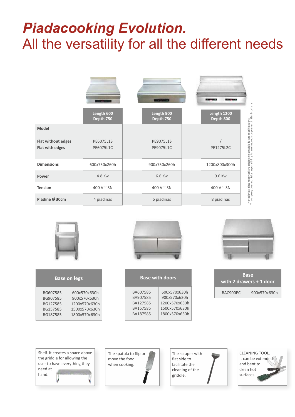### *Piadacooking Evolution.* All the versatility for all the different needs

|                                                                                                                     | $\cdots$                                                                        |                                                                                                                                                         |  |                                            |                                     |                          |                                                                                                                                                                   |
|---------------------------------------------------------------------------------------------------------------------|---------------------------------------------------------------------------------|---------------------------------------------------------------------------------------------------------------------------------------------------------|--|--------------------------------------------|-------------------------------------|--------------------------|-------------------------------------------------------------------------------------------------------------------------------------------------------------------|
|                                                                                                                     | Length 600<br>Depth 750                                                         |                                                                                                                                                         |  | Length 900<br>Depth 750                    |                                     | Length 1200<br>Depth 800 |                                                                                                                                                                   |
| <b>Model</b>                                                                                                        |                                                                                 |                                                                                                                                                         |  |                                            |                                     |                          |                                                                                                                                                                   |
| Flat without edges<br>Flat with edges                                                                               | PE6075L1S<br>PE6075L1C                                                          |                                                                                                                                                         |  | PE9075L1S<br>PE9075L1C                     |                                     | PE1275L2C                | The technical data reported are subject to possible future modifications.<br>Th company does not take responsibility for any imprecision present in this brochure |
| <b>Dimensions</b>                                                                                                   | 600x750x260h                                                                    |                                                                                                                                                         |  | 900x750x260h                               |                                     | 1200x800x300h            |                                                                                                                                                                   |
| Power                                                                                                               | 4.8 Kw                                                                          |                                                                                                                                                         |  | 6.6 Kw                                     |                                     | 9.6 Kw                   |                                                                                                                                                                   |
| <b>Tension</b>                                                                                                      | 400 V $\sim$ 3N                                                                 |                                                                                                                                                         |  | 400 V $\sim$ 3N                            |                                     | 400 V ~ 3N               |                                                                                                                                                                   |
| Piadine Ø 30cm                                                                                                      | 4 piadinas                                                                      |                                                                                                                                                         |  | 6 piadinas                                 |                                     | 8 piadinas               |                                                                                                                                                                   |
|                                                                                                                     |                                                                                 |                                                                                                                                                         |  |                                            |                                     |                          |                                                                                                                                                                   |
| <b>Base on legs</b>                                                                                                 |                                                                                 |                                                                                                                                                         |  | <b>Base with doors</b>                     |                                     |                          | <b>Base</b><br>with 2 drawers                                                                                                                                     |
| BG607585<br>BG907585<br>BG127585<br>BG157585<br>BG187585                                                            | 600x570x630h<br>900x570x630h<br>1200x570x630h<br>1500x570x630h<br>1800x570x630h | BA607585<br>600x570x630h<br>BAC900PC<br>900x570x630h<br>BA907585<br>1200x570x630h<br>BA127585<br>1500x570x630h<br>BA157585<br>1800x570x630h<br>BA187585 |  | 90                                         |                                     |                          |                                                                                                                                                                   |
|                                                                                                                     |                                                                                 |                                                                                                                                                         |  |                                            |                                     |                          |                                                                                                                                                                   |
| Shelf. It creates a space above<br>the griddle for allowing the<br>user to have everything they<br>need at<br>hand. |                                                                                 | The spatula to flip or<br>move the food<br>when cooking.                                                                                                |  | flat side to<br>facilitate the<br>griddle. | The scraper with<br>cleaning of the |                          | <b>CLEANIN</b><br>It can be<br>and bent<br>clean hot<br>surfaces.                                                                                                 |



| <b>Base on legs</b> |               |  |  |
|---------------------|---------------|--|--|
| BG607585            | 600x570x630h  |  |  |
| BG907585            | 900x570x630h  |  |  |
| BG127585            | 1200x570x630h |  |  |
| BG157585            | 1500x570x630h |  |  |
| BG187585            | 1800x570x630h |  |  |



| <b>Base with doors</b>                                   |                                                                                 |  |  |  |
|----------------------------------------------------------|---------------------------------------------------------------------------------|--|--|--|
| BA607585<br>BA907585<br>BA127585<br>BA157585<br>BA187585 | 600x570x630h<br>900x570x630h<br>1200x570x630h<br>1500x570x630h<br>1800x570x630h |  |  |  |
|                                                          |                                                                                 |  |  |  |



| <b>Base</b><br>with 2 drawers $+1$ door |              |  |
|-----------------------------------------|--------------|--|
| BAC900PC                                | 900x570x630h |  |





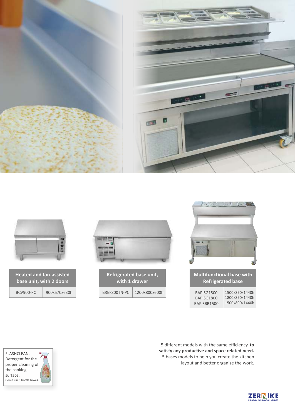



5 different models with the same efficiency, **to satisfy any productive and space related need.** 5 bases models to help you create the kitchen layout and better organize the work.